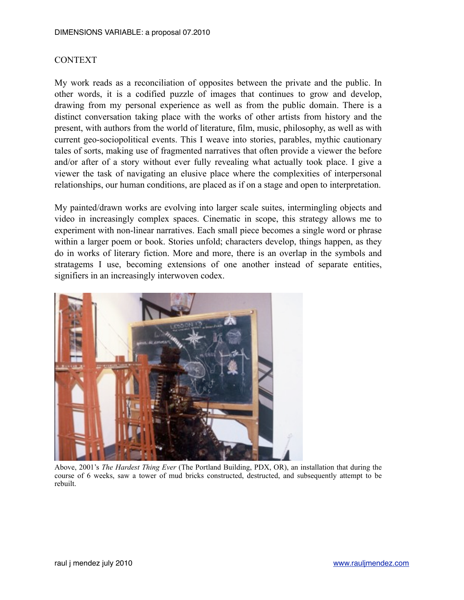## CONTEXT

My work reads as a reconciliation of opposites between the private and the public. In other words, it is a codified puzzle of images that continues to grow and develop, drawing from my personal experience as well as from the public domain. There is a distinct conversation taking place with the works of other artists from history and the present, with authors from the world of literature, film, music, philosophy, as well as with current geo-sociopolitical events. This I weave into stories, parables, mythic cautionary tales of sorts, making use of fragmented narratives that often provide a viewer the before and/or after of a story without ever fully revealing what actually took place. I give a viewer the task of navigating an elusive place where the complexities of interpersonal relationships, our human conditions, are placed as if on a stage and open to interpretation.

My painted/drawn works are evolving into larger scale suites, intermingling objects and video in increasingly complex spaces. Cinematic in scope, this strategy allows me to experiment with non-linear narratives. Each small piece becomes a single word or phrase within a larger poem or book. Stories unfold; characters develop, things happen, as they do in works of literary fiction. More and more, there is an overlap in the symbols and stratagems I use, becoming extensions of one another instead of separate entities, signifiers in an increasingly interwoven codex.



Above, 2001's *The Hardest Thing Ever* (The Portland Building, PDX, OR), an installation that during the course of 6 weeks, saw a tower of mud bricks constructed, destructed, and subsequently attempt to be rebuilt.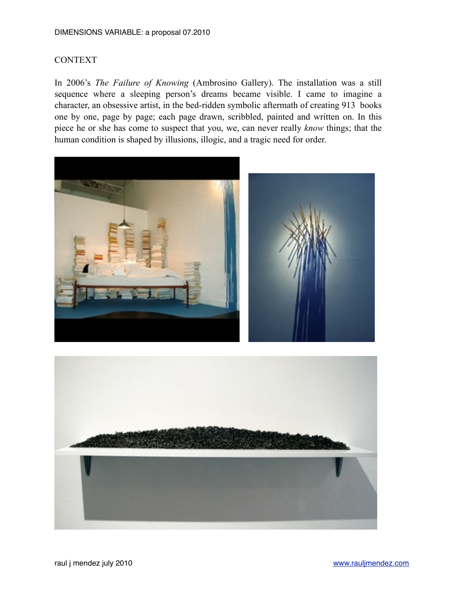## DIMENSIONS VARIABLE: a proposal 07.2010

## CONTEXT

In 2006's *The Failure of Knowing* (Ambrosino Gallery). The installation was a still sequence where a sleeping person's dreams became visible. I came to imagine a character, an obsessive artist, in the bed-ridden symbolic aftermath of creating 913 books one by one, page by page; each page drawn, scribbled, painted and written on. In this piece he or she has come to suspect that you, we, can never really *know* things; that the human condition is shaped by illusions, illogic, and a tragic need for order.



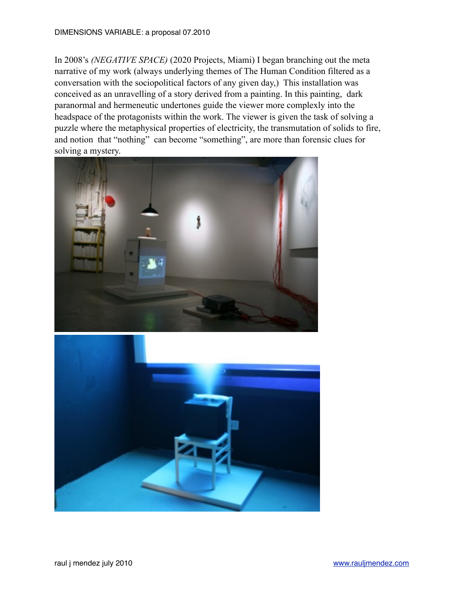In 2008's *(NEGATIVE SPACE)* (2020 Projects, Miami) I began branching out the meta narrative of my work (always underlying themes of The Human Condition filtered as a conversation with the sociopolitical factors of any given day,) This installation was conceived as an unravelling of a story derived from a painting. In this painting, dark paranormal and hermeneutic undertones guide the viewer more complexly into the headspace of the protagonists within the work. The viewer is given the task of solving a puzzle where the metaphysical properties of electricity, the transmutation of solids to fire, and notion that "nothing" can become "something", are more than forensic clues for solving a mystery.



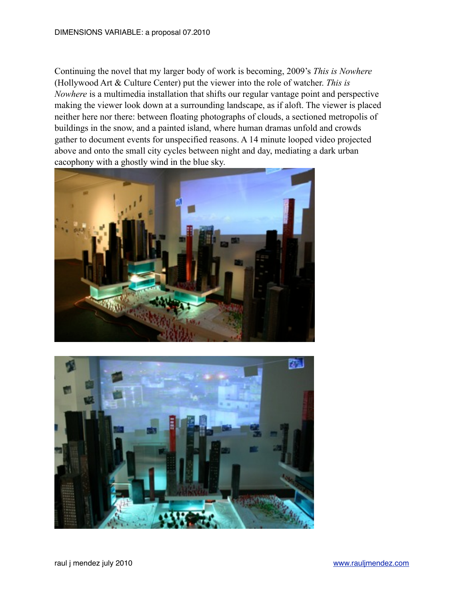Continuing the novel that my larger body of work is becoming, 2009's *This is Nowhere* (Hollywood Art & Culture Center) put the viewer into the role of watcher. *This is Nowhere* is a multimedia installation that shifts our regular vantage point and perspective making the viewer look down at a surrounding landscape, as if aloft. The viewer is placed neither here nor there: between floating photographs of clouds, a sectioned metropolis of buildings in the snow, and a painted island, where human dramas unfold and crowds gather to document events for unspecified reasons. A 14 minute looped video projected above and onto the small city cycles between night and day, mediating a dark urban cacophony with a ghostly wind in the blue sky.



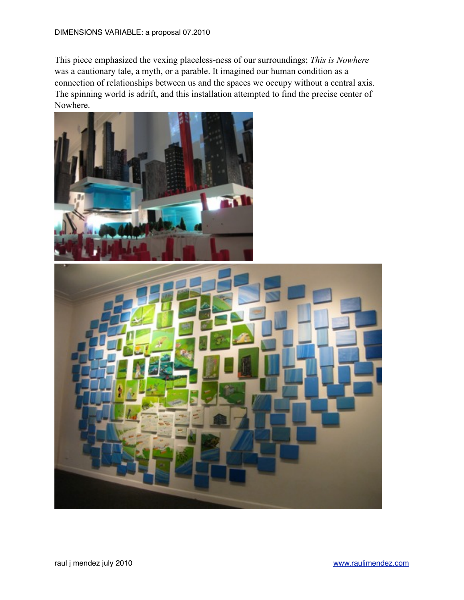This piece emphasized the vexing placeless-ness of our surroundings; *This is Nowhere*  was a cautionary tale, a myth, or a parable. It imagined our human condition as a connection of relationships between us and the spaces we occupy without a central axis. The spinning world is adrift, and this installation attempted to find the precise center of Nowhere.

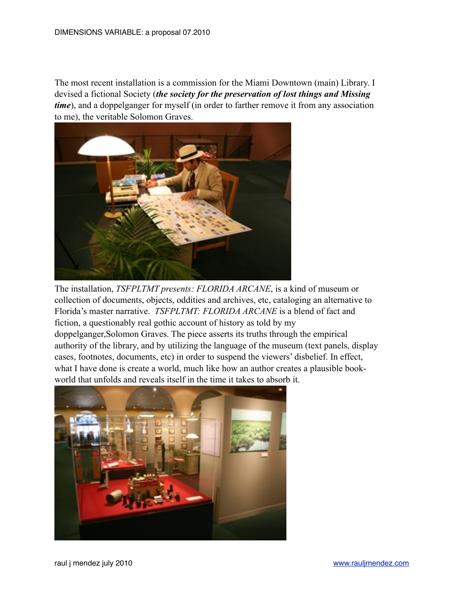The most recent installation is a commission for the Miami Downtown (main) Library. I devised a fictional Society (*the society for the preservation of lost things and Missing time*), and a doppelganger for myself (in order to farther remove it from any association to me), the veritable Solomon Graves.



The installation, *TSFPLTMT presents: FLORIDA ARCANE*, is a kind of museum or collection of documents, objects, oddities and archives, etc, cataloging an alternative to Florida's master narrative. *TSFPLTMT: FLORIDA ARCANE* is a blend of fact and fiction, a questionably real gothic account of history as told by my doppelganger,Solomon Graves. The piece asserts its truths through the empirical authority of the library, and by utilizing the language of the museum (text panels, display cases, footnotes, documents, etc) in order to suspend the viewers' disbelief. In effect, what I have done is create a world, much like how an author creates a plausible bookworld that unfolds and reveals itself in the time it takes to absorb it.

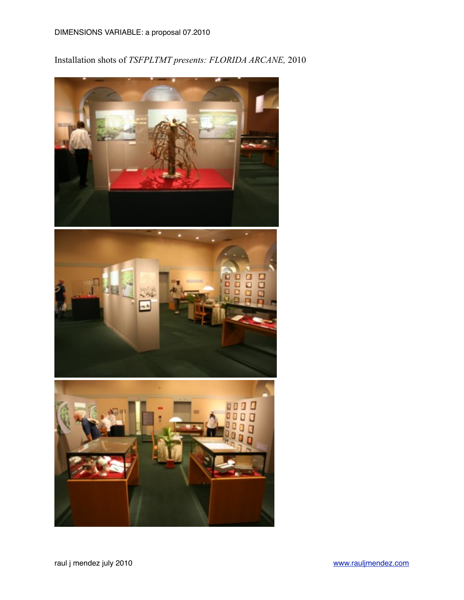Installation shots of *TSFPLTMT presents: FLORIDA ARCANE,* 2010





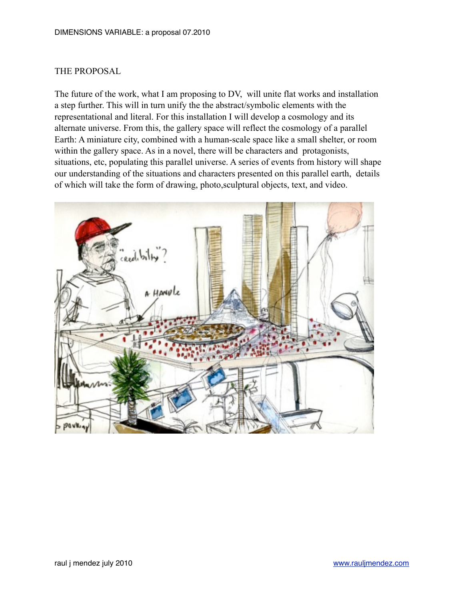## THE PROPOSAL

The future of the work, what I am proposing to DV, will unite flat works and installation a step further. This will in turn unify the the abstract/symbolic elements with the representational and literal. For this installation I will develop a cosmology and its alternate universe. From this, the gallery space will reflect the cosmology of a parallel Earth: A miniature city, combined with a human-scale space like a small shelter, or room within the gallery space. As in a novel, there will be characters and protagonists, situations, etc, populating this parallel universe. A series of events from history will shape our understanding of the situations and characters presented on this parallel earth, details of which will take the form of drawing, photo,sculptural objects, text, and video.

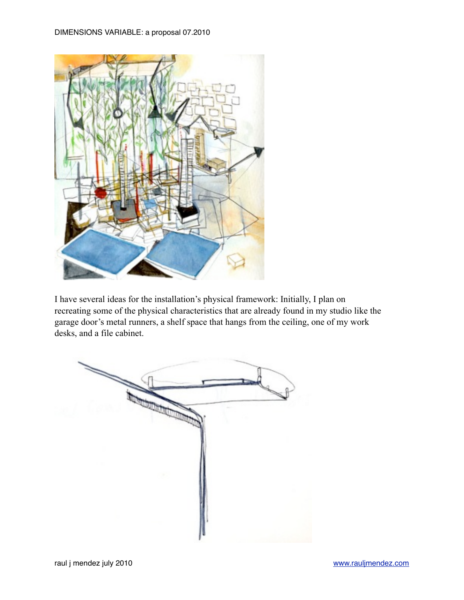

I have several ideas for the installation's physical framework: Initially, I plan on recreating some of the physical characteristics that are already found in my studio like the garage door's metal runners, a shelf space that hangs from the ceiling, one of my work desks, and a file cabinet.

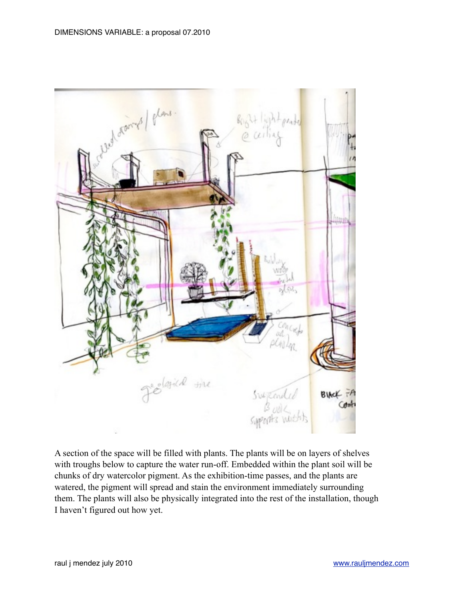

A section of the space will be filled with plants. The plants will be on layers of shelves with troughs below to capture the water run-off. Embedded within the plant soil will be chunks of dry watercolor pigment. As the exhibition-time passes, and the plants are watered, the pigment will spread and stain the environment immediately surrounding them. The plants will also be physically integrated into the rest of the installation, though I haven't figured out how yet.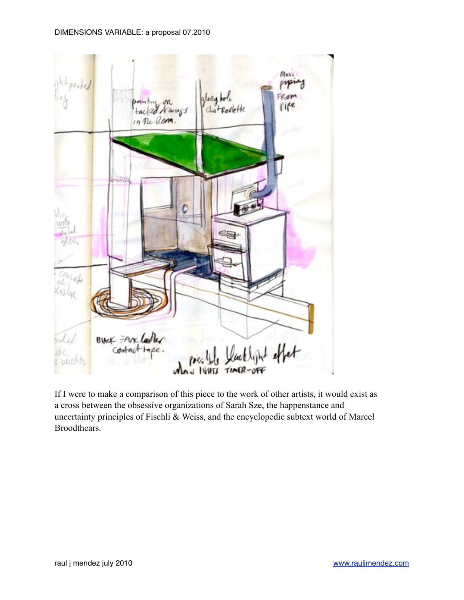

If I were to make a comparison of this piece to the work of other artists, it would exist as a cross between the obsessive organizations of Sarah Sze, the happenstance and uncertainty principles of Fischli & Weiss, and the encyclopedic subtext world of Marcel Broodthears.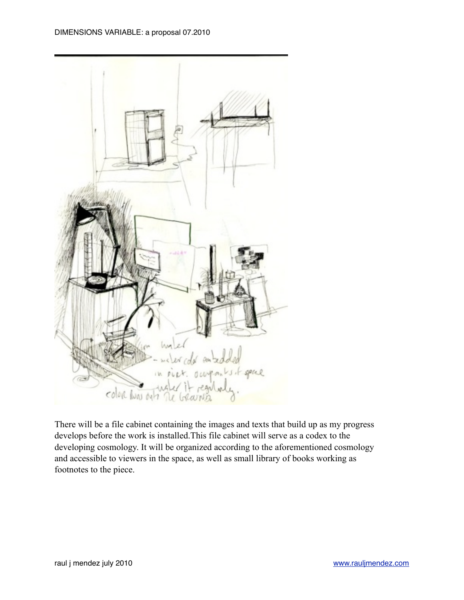

There will be a file cabinet containing the images and texts that build up as my progress develops before the work is installed.This file cabinet will serve as a codex to the developing cosmology. It will be organized according to the aforementioned cosmology and accessible to viewers in the space, as well as small library of books working as footnotes to the piece.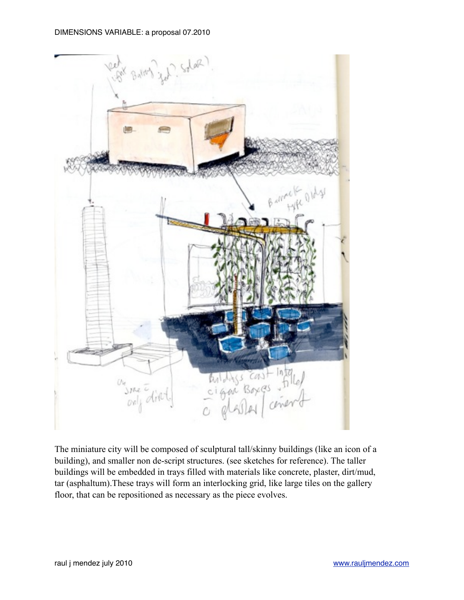

The miniature city will be composed of sculptural tall/skinny buildings (like an icon of a building), and smaller non de-script structures. (see sketches for reference). The taller buildings will be embedded in trays filled with materials like concrete, plaster, dirt/mud, tar (asphaltum).These trays will form an interlocking grid, like large tiles on the gallery floor, that can be repositioned as necessary as the piece evolves.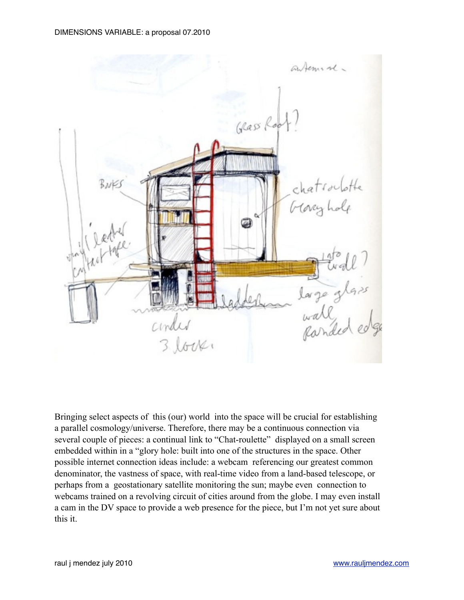

Bringing select aspects of this (our) world into the space will be crucial for establishing a parallel cosmology/universe. Therefore, there may be a continuous connection via several couple of pieces: a continual link to "Chat-roulette" displayed on a small screen embedded within in a "glory hole: built into one of the structures in the space. Other possible internet connection ideas include: a webcam referencing our greatest common denominator, the vastness of space, with real-time video from a land-based telescope, or perhaps from a geostationary satellite monitoring the sun; maybe even connection to webcams trained on a revolving circuit of cities around from the globe. I may even install a cam in the DV space to provide a web presence for the piece, but I'm not yet sure about this it.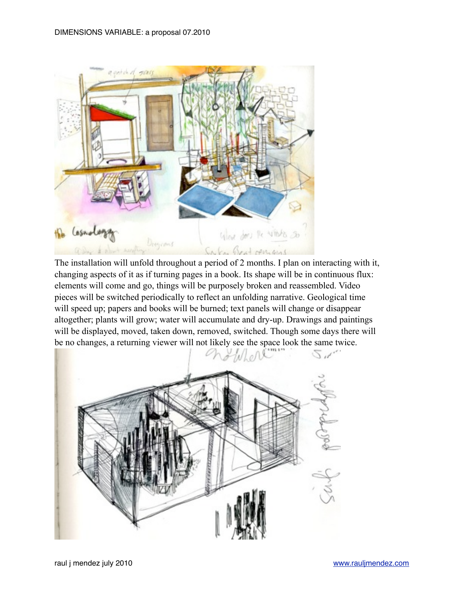

The installation will unfold throughout a period of 2 months. I plan on interacting with it, changing aspects of it as if turning pages in a book. Its shape will be in continuous flux: elements will come and go, things will be purposely broken and reassembled. Video pieces will be switched periodically to reflect an unfolding narrative. Geological time will speed up; papers and books will be burned; text panels will change or disappear altogether; plants will grow; water will accumulate and dry-up. Drawings and paintings will be displayed, moved, taken down, removed, switched. Though some days there will be no changes, a returning viewer will not likely see the space look the same twice.

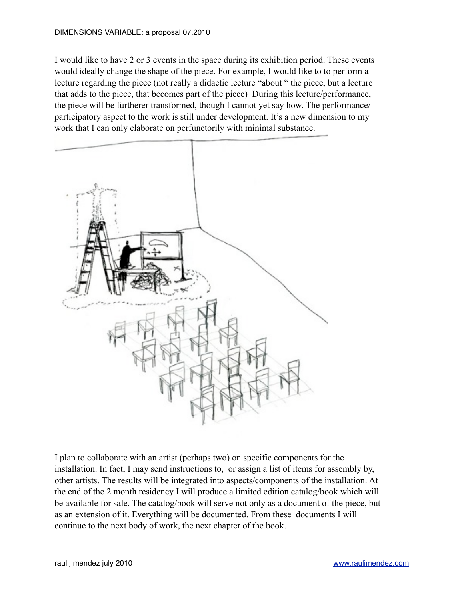I would like to have 2 or 3 events in the space during its exhibition period. These events would ideally change the shape of the piece. For example, I would like to to perform a lecture regarding the piece (not really a didactic lecture "about " the piece, but a lecture that adds to the piece, that becomes part of the piece) During this lecture/performance, the piece will be furtherer transformed, though I cannot yet say how. The performance/ participatory aspect to the work is still under development. It's a new dimension to my work that I can only elaborate on perfunctorily with minimal substance.



I plan to collaborate with an artist (perhaps two) on specific components for the installation. In fact, I may send instructions to, or assign a list of items for assembly by, other artists. The results will be integrated into aspects/components of the installation. At the end of the 2 month residency I will produce a limited edition catalog/book which will be available for sale. The catalog/book will serve not only as a document of the piece, but as an extension of it. Everything will be documented. From these documents I will continue to the next body of work, the next chapter of the book.